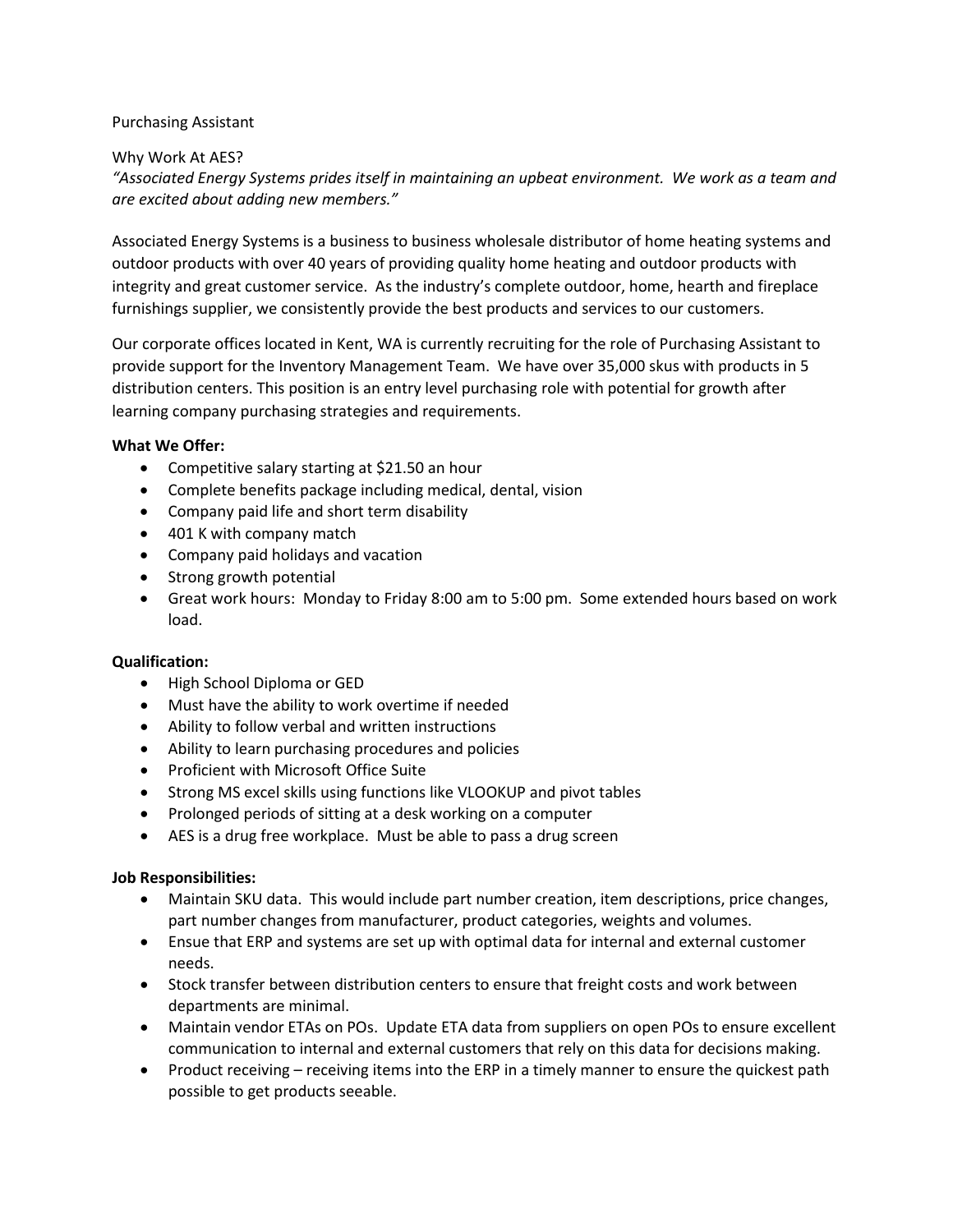# Purchasing Assistant

# Why Work At AES?

*"Associated Energy Systems prides itself in maintaining an upbeat environment. We work as a team and are excited about adding new members."*

Associated Energy Systems is a business to business wholesale distributor of home heating systems and outdoor products with over 40 years of providing quality home heating and outdoor products with integrity and great customer service. As the industry's complete outdoor, home, hearth and fireplace furnishings supplier, we consistently provide the best products and services to our customers.

Our corporate offices located in Kent, WA is currently recruiting for the role of Purchasing Assistant to provide support for the Inventory Management Team. We have over 35,000 skus with products in 5 distribution centers. This position is an entry level purchasing role with potential for growth after learning company purchasing strategies and requirements.

# **What We Offer:**

- Competitive salary starting at \$21.50 an hour
- Complete benefits package including medical, dental, vision
- Company paid life and short term disability
- 401 K with company match
- Company paid holidays and vacation
- Strong growth potential
- Great work hours: Monday to Friday 8:00 am to 5:00 pm. Some extended hours based on work load.

## **Qualification:**

- High School Diploma or GED
- Must have the ability to work overtime if needed
- Ability to follow verbal and written instructions
- Ability to learn purchasing procedures and policies
- Proficient with Microsoft Office Suite
- Strong MS excel skills using functions like VLOOKUP and pivot tables
- Prolonged periods of sitting at a desk working on a computer
- AES is a drug free workplace. Must be able to pass a drug screen

## **Job Responsibilities:**

- Maintain SKU data. This would include part number creation, item descriptions, price changes, part number changes from manufacturer, product categories, weights and volumes.
- Ensue that ERP and systems are set up with optimal data for internal and external customer needs.
- Stock transfer between distribution centers to ensure that freight costs and work between departments are minimal.
- Maintain vendor ETAs on POs. Update ETA data from suppliers on open POs to ensure excellent communication to internal and external customers that rely on this data for decisions making.
- Product receiving receiving items into the ERP in a timely manner to ensure the quickest path possible to get products seeable.